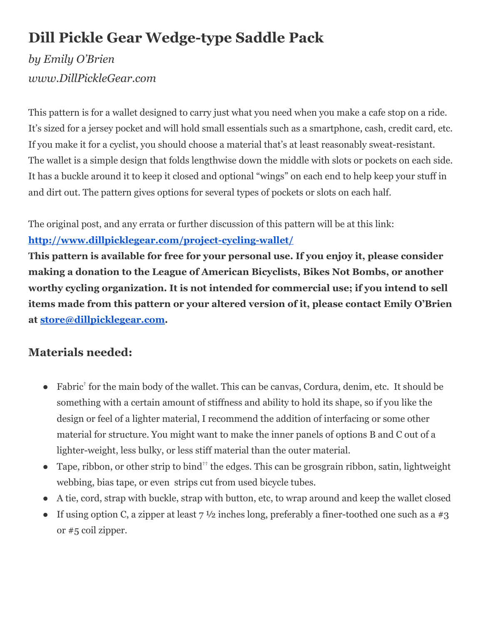# **Dill Pickle Gear Wedge-type Saddle Pack**

# *by Emily O'Brien www.DillPickleGear.com*

This pattern is for a wallet designed to carry just what you need when you make a cafe stop on a ride. It's sized for a jersey pocket and will hold small essentials such as a smartphone, cash, credit card, etc. If you make it for a cyclist, you should choose a material that's at least reasonably sweat-resistant. The wallet is a simple design that folds lengthwise down the middle with slots or pockets on each side. It has a buckle around it to keep it closed and optional "wings" on each end to help keep your stuff in and dirt out. The pattern gives options for several types of pockets or slots on each half.

The original post, and any errata or further discussion of this pattern will be at this link: **[http://www.dillpicklegear.com/project-cycling-wallet/](http://www.google.com/url?q=http%3A%2F%2Fwww.dillpicklegear.com%2Fproject-cycling-wallet%2F&sa=D&sntz=1&usg=AFQjCNHid5Ikq1lsTuGN9Sf3iXyf0v18Gw)**

**This pattern is available for free for your personal use. If you enjoy it, please consider making a donation to the League of American Bicyclists, Bikes Not Bombs, or another worthy cycling organization. It is not intended for commercial use; if you intend to sell items made from this pattern or your altered version of it, please contact Emily O'Brien at [store@dillpicklegear.com](mailto:store@dillpicklegear.com).**

# **Materials needed:**

- Fabric<sup>†</sup> for the main body of the wallet. This can be canvas, Cordura, denim, etc. It should be something with a certain amount of stiffness and ability to hold its shape, so if you like the design or feel of a lighter material, I recommend the addition of interfacing or some other material for structure. You might want to make the inner panels of options B and C out of a lighter-weight, less bulky, or less stiff material than the outer material.
- Tape, ribbon, or other strip to bind<sup>††</sup> the edges. This can be grosgrain ribbon, satin, lightweight webbing, bias tape, or even strips cut from used bicycle tubes.
- A tie, cord, strap with buckle, strap with button, etc, to wrap around and keep the wallet closed
- If using option C, a zipper at least  $7\frac{1}{2}$  inches long, preferably a finer-toothed one such as a #3 or #5 coil zipper.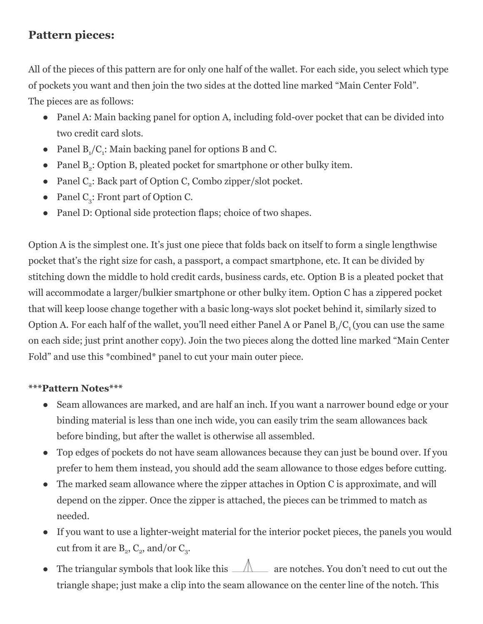## **Pattern pieces:**

All of the pieces of this pattern are for only one half of the wallet. For each side, you select which type of pockets you want and then join the two sides at the dotted line marked "Main Center Fold". The pieces are as follows:

- Panel A: Main backing panel for option A, including fold-over pocket that can be divided into two credit card slots.
- Panel  $B_1/C_1$ : Main backing panel for options B and C.
- Panel  $B_2$ : Option B, pleated pocket for smartphone or other bulky item.
- Panel  $C_2$ : Back part of Option C, Combo zipper/slot pocket.
- Panel  $C_3$ : Front part of Option C.
- Panel D: Optional side protection flaps; choice of two shapes.

Option A is the simplest one. It's just one piece that folds back on itself to form a single lengthwise pocket that's the right size for cash, a passport, a compact smartphone, etc. It can be divided by stitching down the middle to hold credit cards, business cards, etc. Option B is a pleated pocket that will accommodate a larger/bulkier smartphone or other bulky item. Option C has a zippered pocket that will keep loose change together with a basic long-ways slot pocket behind it, similarly sized to Option A. For each half of the wallet, you'll need either Panel A or Panel  $B_1/C_1$  (you can use the same on each side; just print another copy). Join the two pieces along the dotted line marked "Main Center Fold" and use this \*combined\* panel to cut your main outer piece.

### **\*\*\*Pattern Notes\*\*\***

- Seam allowances are marked, and are half an inch. If you want a narrower bound edge or your binding material is less than one inch wide, you can easily trim the seam allowances back before binding, but after the wallet is otherwise all assembled.
- Top edges of pockets do not have seam allowances because they can just be bound over. If you prefer to hem them instead, you should add the seam allowance to those edges before cutting.
- The marked seam allowance where the zipper attaches in Option C is approximate, and will depend on the zipper. Once the zipper is attached, the pieces can be trimmed to match as needed.
- If you want to use a lighter-weight material for the interior pocket pieces, the panels you would cut from it are  $B_2$ ,  $C_2$ , and/or  $C_3$ .
- The triangular symbols that look like this  $\triangle$  are notches. You don't need to cut out the triangle shape; just make a clip into the seam allowance on the center line of the notch. This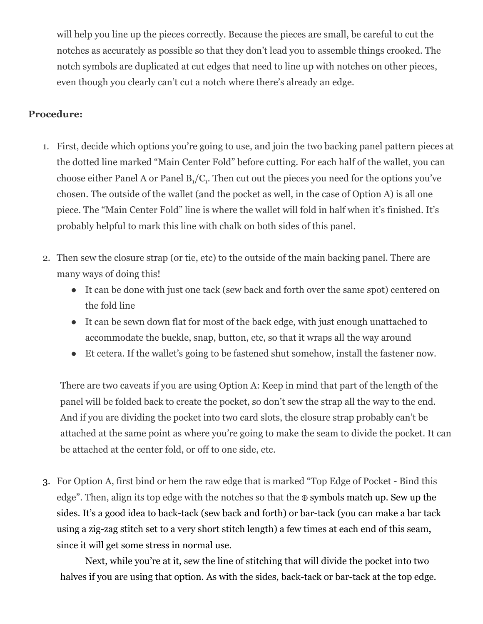will help you line up the pieces correctly. Because the pieces are small, be careful to cut the notches as accurately as possible so that they don't lead you to assemble things crooked. The notch symbols are duplicated at cut edges that need to line up with notches on other pieces, even though you clearly can't cut a notch where there's already an edge.

### **Procedure:**

- 1. First, decide which options you're going to use, and join the two backing panel pattern pieces at the dotted line marked "Main Center Fold" before cutting. For each half of the wallet, you can choose either Panel A or Panel  $B_1/C_1$ . Then cut out the pieces you need for the options you've chosen. The outside of the wallet (and the pocket as well, in the case of Option A) is all one piece. The "Main Center Fold" line is where the wallet will fold in half when it's finished. It's probably helpful to mark this line with chalk on both sides of this panel.
- 2. Then sew the closure strap (or tie, etc) to the outside of the main backing panel. There are many ways of doing this!
	- It can be done with just one tack (sew back and forth over the same spot) centered on the fold line
	- It can be sewn down flat for most of the back edge, with just enough unattached to accommodate the buckle, snap, button, etc, so that it wraps all the way around
	- Et cetera. If the wallet's going to be fastened shut somehow, install the fastener now.

There are two caveats if you are using Option A: Keep in mind that part of the length of the panel will be folded back to create the pocket, so don't sew the strap all the way to the end. And if you are dividing the pocket into two card slots, the closure strap probably can't be attached at the same point as where you're going to make the seam to divide the pocket. It can be attached at the center fold, or off to one side, etc.

3. For Option A, first bind or hem the raw edge that is marked "Top Edge of Pocket - Bind this edge". Then, align its top edge with the notches so that the ⊕ symbols match up. Sew up the sides. It's a good idea to back-tack (sew back and forth) or bar-tack (you can make a bar tack using a zig-zag stitch set to a very short stitch length) a few times at each end of this seam, since it will get some stress in normal use.

Next, while you're at it, sew the line of stitching that will divide the pocket into two halves if you are using that option. As with the sides, back-tack or bar-tack at the top edge.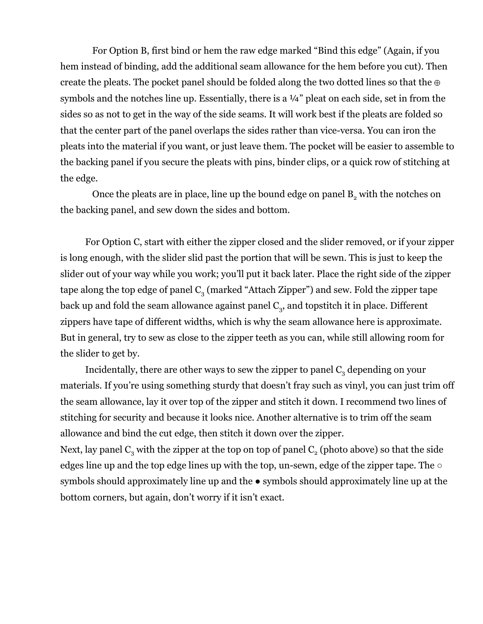For Option B, first bind or hem the raw edge marked "Bind this edge" (Again, if you hem instead of binding, add the additional seam allowance for the hem before you cut). Then create the pleats. The pocket panel should be folded along the two dotted lines so that the  $\oplus$ symbols and the notches line up. Essentially, there is a  $\frac{1}{4}$ " pleat on each side, set in from the sides so as not to get in the way of the side seams. It will work best if the pleats are folded so that the center part of the panel overlaps the sides rather than vice-versa. You can iron the pleats into the material if you want, or just leave them. The pocket will be easier to assemble to the backing panel if you secure the pleats with pins, binder clips, or a quick row of stitching at the edge.

Once the pleats are in place, line up the bound edge on panel  $B_2$  with the notches on the backing panel, and sew down the sides and bottom.

For Option C, start with either the zipper closed and the slider removed, or if your zipper is long enough, with the slider slid past the portion that will be sewn. This is just to keep the slider out of your way while you work; you'll put it back later. Place the right side of the zipper tape along the top edge of panel  $C_3$  (marked "Attach Zipper") and sew. Fold the zipper tape back up and fold the seam allowance against panel  $\mathsf{C}_{3}$ , and topstitch it in place. Different zippers have tape of different widths, which is why the seam allowance here is approximate. But in general, try to sew as close to the zipper teeth as you can, while still allowing room for the slider to get by.

Incidentally, there are other ways to sew the zipper to panel  $C_3$  depending on your materials. If you're using something sturdy that doesn't fray such as vinyl, you can just trim off the seam allowance, lay it over top of the zipper and stitch it down. I recommend two lines of stitching for security and because it looks nice. Another alternative is to trim off the seam allowance and bind the cut edge, then stitch it down over the zipper. Next, lay panel  $C_3$  with the zipper at the top on top of panel  $C_2$  (photo above) so that the side

edges line up and the top edge lines up with the top, un-sewn, edge of the zipper tape. The ○ symbols should approximately line up and the  $\bullet$  symbols should approximately line up at the bottom corners, but again, don't worry if it isn't exact.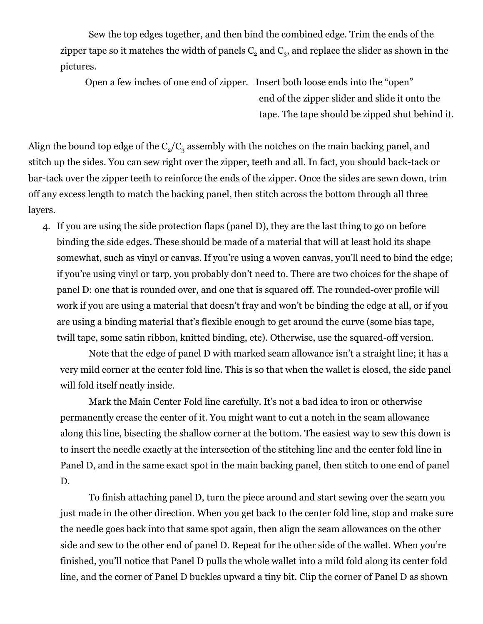Sew the top edges together, and then bind the combined edge. Trim the ends of the zipper tape so it matches the width of panels  $\mathsf{C}_2$  and  $\mathsf{C}_3$ , and replace the slider as shown in the pictures.

Open a few inches of one end of zipper. Insert both loose ends into the "open" end of the zipper slider and slide it onto the tape. The tape should be zipped shut behind it.

Align the bound top edge of the  $C_2/C_3$  assembly with the notches on the main backing panel, and stitch up the sides. You can sew right over the zipper, teeth and all. In fact, you should back-tack or bar-tack over the zipper teeth to reinforce the ends of the zipper. Once the sides are sewn down, trim off any excess length to match the backing panel, then stitch across the bottom through all three layers.

4. If you are using the side protection flaps (panel D), they are the last thing to go on before binding the side edges. These should be made of a material that will at least hold its shape somewhat, such as vinyl or canvas. If you're using a woven canvas, you'll need to bind the edge; if you're using vinyl or tarp, you probably don't need to. There are two choices for the shape of panel D: one that is rounded over, and one that is squared off. The rounded-over profile will work if you are using a material that doesn't fray and won't be binding the edge at all, or if you are using a binding material that's flexible enough to get around the curve (some bias tape, twill tape, some satin ribbon, knitted binding, etc). Otherwise, use the squared-off version.

Note that the edge of panel D with marked seam allowance isn't a straight line; it has a very mild corner at the center fold line. This is so that when the wallet is closed, the side panel will fold itself neatly inside.

Mark the Main Center Fold line carefully. It's not a bad idea to iron or otherwise permanently crease the center of it. You might want to cut a notch in the seam allowance along this line, bisecting the shallow corner at the bottom. The easiest way to sew this down is to insert the needle exactly at the intersection of the stitching line and the center fold line in Panel D, and in the same exact spot in the main backing panel, then stitch to one end of panel D.

To finish attaching panel D, turn the piece around and start sewing over the seam you just made in the other direction. When you get back to the center fold line, stop and make sure the needle goes back into that same spot again, then align the seam allowances on the other side and sew to the other end of panel D. Repeat for the other side of the wallet. When you're finished, you'll notice that Panel D pulls the whole wallet into a mild fold along its center fold line, and the corner of Panel D buckles upward a tiny bit. Clip the corner of Panel D as shown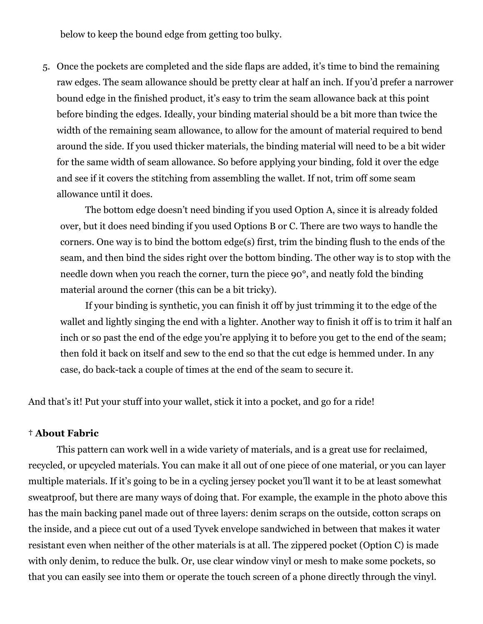below to keep the bound edge from getting too bulky.

5. Once the pockets are completed and the side flaps are added, it's time to bind the remaining raw edges. The seam allowance should be pretty clear at half an inch. If you'd prefer a narrower bound edge in the finished product, it's easy to trim the seam allowance back at this point before binding the edges. Ideally, your binding material should be a bit more than twice the width of the remaining seam allowance, to allow for the amount of material required to bend around the side. If you used thicker materials, the binding material will need to be a bit wider for the same width of seam allowance. So before applying your binding, fold it over the edge and see if it covers the stitching from assembling the wallet. If not, trim off some seam allowance until it does.

The bottom edge doesn't need binding if you used Option A, since it is already folded over, but it does need binding if you used Options B or C. There are two ways to handle the corners. One way is to bind the bottom edge(s) first, trim the binding flush to the ends of the seam, and then bind the sides right over the bottom binding. The other way is to stop with the needle down when you reach the corner, turn the piece 90°, and neatly fold the binding material around the corner (this can be a bit tricky).

If your binding is synthetic, you can finish it off by just trimming it to the edge of the wallet and lightly singing the end with a lighter. Another way to finish it off is to trim it half an inch or so past the end of the edge you're applying it to before you get to the end of the seam; then fold it back on itself and sew to the end so that the cut edge is hemmed under. In any case, do back-tack a couple of times at the end of the seam to secure it.

And that's it! Put your stuff into your wallet, stick it into a pocket, and go for a ride!

#### **† About Fabric**

This pattern can work well in a wide variety of materials, and is a great use for reclaimed, recycled, or upcycled materials. You can make it all out of one piece of one material, or you can layer multiple materials. If it's going to be in a cycling jersey pocket you'll want it to be at least somewhat sweatproof, but there are many ways of doing that. For example, the example in the photo above this has the main backing panel made out of three layers: denim scraps on the outside, cotton scraps on the inside, and a piece cut out of a used Tyvek envelope sandwiched in between that makes it water resistant even when neither of the other materials is at all. The zippered pocket (Option C) is made with only denim, to reduce the bulk. Or, use clear window vinyl or mesh to make some pockets, so that you can easily see into them or operate the touch screen of a phone directly through the vinyl.